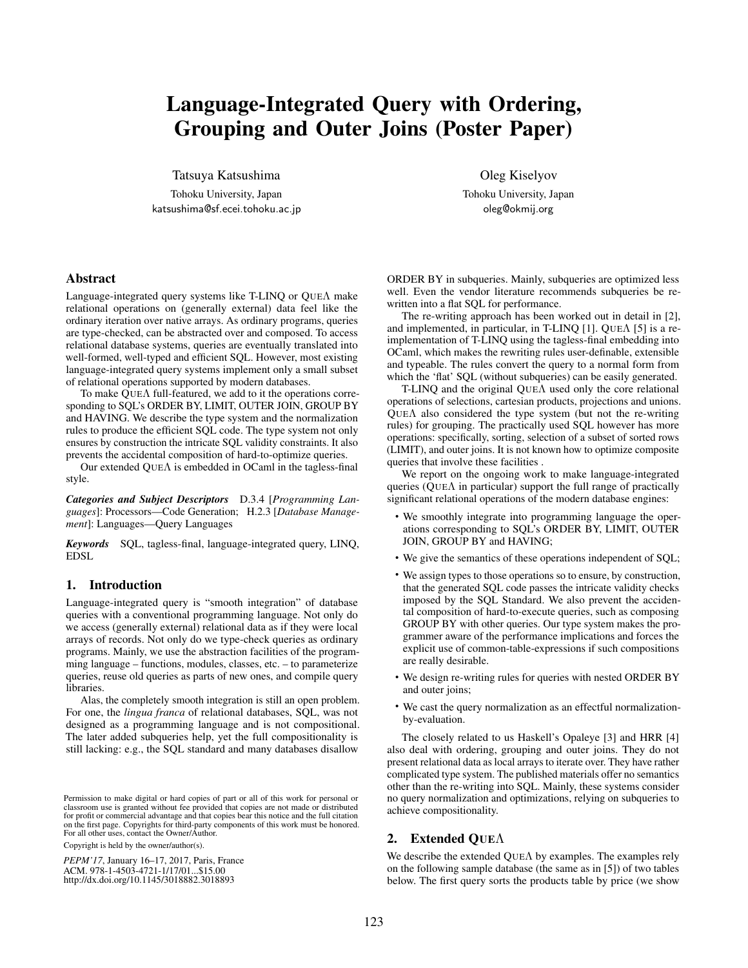# Language-Integrated Query with Ordering, Grouping and Outer Joins (Poster Paper)

Tatsuya Katsushima

Tohoku University, Japan katsushima@sf.ecei.tohoku.ac.jp Oleg Kiselyov

Tohoku University, Japan oleg@okmij.org

# Abstract

Language-integrated query systems like T-LINQ or QUEΛ make relational operations on (generally external) data feel like the ordinary iteration over native arrays. As ordinary programs, queries are type-checked, can be abstracted over and composed. To access relational database systems, queries are eventually translated into well-formed, well-typed and efficient SQL. However, most existing language-integrated query systems implement only a small subset of relational operations supported by modern databases.

To make QUEΛ full-featured, we add to it the operations corresponding to SQL's ORDER BY, LIMIT, OUTER JOIN, GROUP BY and HAVING. We describe the type system and the normalization rules to produce the efficient SQL code. The type system not only ensures by construction the intricate SQL validity constraints. It also prevents the accidental composition of hard-to-optimize queries.

Our extended QUEΛ is embedded in OCaml in the tagless-final style.

*Categories and Subject Descriptors* D.3.4 [*Programming Languages*]: Processors—Code Generation; H.2.3 [*Database Management*]: Languages—Query Languages

*Keywords* SQL, tagless-final, language-integrated query, LINQ, EDSL

## 1. Introduction

Language-integrated query is "smooth integration" of database queries with a conventional programming language. Not only do we access (generally external) relational data as if they were local arrays of records. Not only do we type-check queries as ordinary programs. Mainly, we use the abstraction facilities of the programming language – functions, modules, classes, etc. – to parameterize queries, reuse old queries as parts of new ones, and compile query libraries.

Alas, the completely smooth integration is still an open problem. For one, the *lingua franca* of relational databases, SQL, was not designed as a programming language and is not compositional. The later added subqueries help, yet the full compositionality is still lacking: e.g., the SQL standard and many databases disallow

Permission to make digital or hard copies of part or all of this work for personal or classroom use is granted without fee provided that copies are not made or distributed for profit or commercial advantage and that copies bear this notice and the full citation on the first page. Copyrights for third-party components of this work must be honored. For all other uses, contact the Owner/Author.

Copyright is held by the owner/author(s).

*PEPM'17*, January 16–17, 2017, Paris, France ACM. 978-1-4503-4721-1/17/01...\$15.00 http://dx.doi.org/10.1145/3018882.3018893

ORDER BY in subqueries. Mainly, subqueries are optimized less well. Even the vendor literature recommends subqueries be rewritten into a flat SQL for performance.

The re-writing approach has been worked out in detail in [2], and implemented, in particular, in T-LINQ [1]. QUEΛ [5] is a reimplementation of T-LINQ using the tagless-final embedding into OCaml, which makes the rewriting rules user-definable, extensible and typeable. The rules convert the query to a normal form from which the 'flat' SQL (without subqueries) can be easily generated.

T-LINQ and the original QUEΛ used only the core relational operations of selections, cartesian products, projections and unions. QUEΛ also considered the type system (but not the re-writing rules) for grouping. The practically used SQL however has more operations: specifically, sorting, selection of a subset of sorted rows (LIMIT), and outer joins. It is not known how to optimize composite queries that involve these facilities .

We report on the ongoing work to make language-integrated queries ( $QUE\Lambda$  in particular) support the full range of practically significant relational operations of the modern database engines:

- We smoothly integrate into programming language the operations corresponding to SQL's ORDER BY, LIMIT, OUTER JOIN, GROUP BY and HAVING;
- We give the semantics of these operations independent of SQL;
- We assign types to those operations so to ensure, by construction, that the generated SQL code passes the intricate validity checks imposed by the SQL Standard. We also prevent the accidental composition of hard-to-execute queries, such as composing GROUP BY with other queries. Our type system makes the programmer aware of the performance implications and forces the explicit use of common-table-expressions if such compositions are really desirable.
- We design re-writing rules for queries with nested ORDER BY and outer joins;
- We cast the query normalization as an effectful normalizationby-evaluation.

The closely related to us Haskell's Opaleye [3] and HRR [4] also deal with ordering, grouping and outer joins. They do not present relational data as local arrays to iterate over. They have rather complicated type system. The published materials offer no semantics other than the re-writing into SQL. Mainly, these systems consider no query normalization and optimizations, relying on subqueries to achieve compositionality.

#### 2. Extended QUEΛ

We describe the extended QUEΛ by examples. The examples rely on the following sample database (the same as in [5]) of two tables below. The first query sorts the products table by price (we show